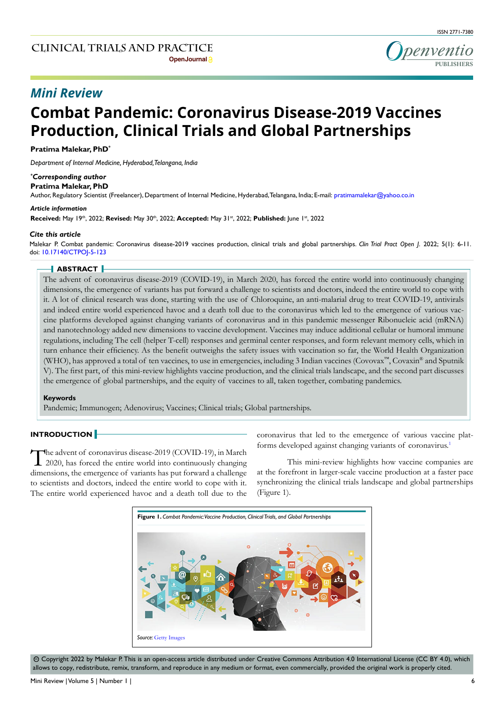

## *Mini Review*

# **Combat Pandemic: Coronavirus Disease-2019 Vaccines Production, Clinical Trials and Global Partnerships**

#### **Pratima Malekar, PhD\***

*Department of Internal Medicine, Hyderabad, Telangana, India*

## *\* Corresponding author*

**Pratima Malekar, PhD**

Author, Regulatory Scientist (Freelancer), Department of Internal Medicine, Hyderabad, Telangana, India; E-mail: pratimamalekar@yahoo.co.in

#### *Article information*

**Received:** May 19th, 2022; **Revised:** May 30th, 2022; **Accepted:** May 31st, 2022; **Published:** June 1st, 2022

#### *Cite this article*

Malekar P. Combat pandemic: Coronavirus disease-2019 vaccines production, clinical trials and global partnerships. *Clin Trial Pract Open J*. 2022; 5(1): 6-11. doi: [10.17140/CTPOJ-5-123](http://dx.doi.org/10.17140/CTPOJ-5-123)

## **ABSTRACT**

The advent of coronavirus disease-2019 (COVID-19), in March 2020, has forced the entire world into continuously changing dimensions, the emergence of variants has put forward a challenge to scientists and doctors, indeed the entire world to cope with it. A lot of clinical research was done, starting with the use of Chloroquine, an anti-malarial drug to treat COVID-19, antivirals and indeed entire world experienced havoc and a death toll due to the coronavirus which led to the emergence of various vaccine platforms developed against changing variants of coronavirus and in this pandemic messenger Ribonucleic acid (mRNA) and nanotechnology added new dimensions to vaccine development. Vaccines may induce additional cellular or humoral immune regulations, including The cell (helper T-cell) responses and germinal center responses, and form relevant memory cells, which in turn enhance their efficiency. As the benefit outweighs the safety issues with vaccination so far, the World Health Organization (WHO), has approved a total of ten vaccines, to use in emergencies, including 3 Indian vaccines (Covovax™, Covaxin® and Sputnik V). The first part, of this mini-review highlights vaccine production, and the clinical trials landscape, and the second part discusses the emergence of global partnerships, and the equity of vaccines to all, taken together, combating pandemics.

#### **Keywords**

Pandemic; Immunogen; Adenovirus; Vaccines; Clinical trials; Global partnerships.

## **INTRODUCTION**

The advent of coronavirus disease-2019 (COVID-19), in March 1 2020, has forced the entire world into continuously changing dimensions, the emergence of variants has put forward a challenge to scientists and doctors, indeed the entire world to cope with it. The entire world experienced havoc and a death toll due to the coronavirus that led to the emergence of various vaccine platforms developed against changing variants of coronavirus[.1](#page-4-0)

This mini-review highlights how vaccine companies are at the forefront in larger-scale vaccine production at a faster pace synchronizing the clinical trials landscape and global partnerships (Figure 1).



 $\odot$  Copyright 2022 by Malekar P. This is an open-access article distributed under Creative Commons Attribution 4.0 International License (CC BY 4.0), which allows to copy, redistribute, remix, transform, and reproduce in any medium or format, even commercially, provided the original work is properly cited.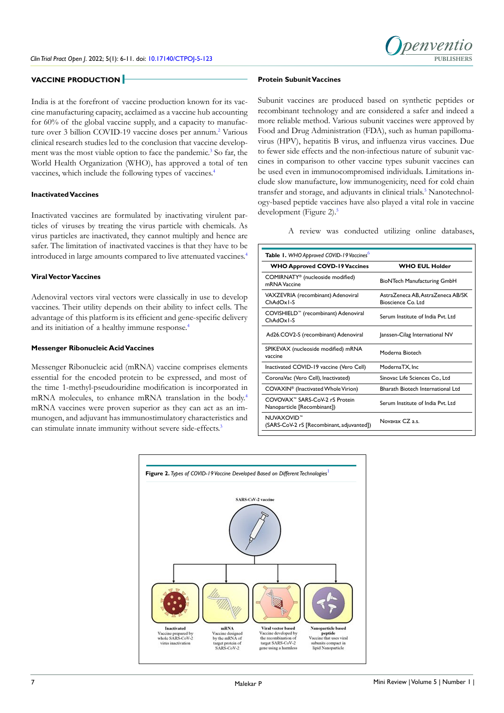## **VACCINE PRODUCTION**

India is at the forefront of vaccine production known for its vaccine manufacturing capacity, acclaimed as a vaccine hub accounting for 60% of the global vaccine supply, and a capacity to manufac-ture over 3 billion COVID-19 vaccine doses per annum.<sup>[2](#page-4-1)</sup> Various clinical research studies led to the conclusion that vaccine develop-ment was the most viable option to face the pandemic.<sup>[3](#page-4-2)</sup> So far, the World Health Organization (WHO), has approved a total of ten vaccines, which include the following types of vaccines.[4](#page-4-3)

#### **Inactivated Vaccines**

Inactivated vaccines are formulated by inactivating virulent particles of viruses by treating the virus particle with chemicals. As virus particles are inactivated, they cannot multiply and hence are safer. The limitation of inactivated vaccines is that they have to be introduced in large amounts compared to live attenuated vaccines.[4](#page-4-3)

## **Viral Vector Vaccines**

Adenoviral vectors viral vectors were classically in use to develop vaccines. Their utility depends on their ability to infect cells. The advantage of this platform is its efficient and gene-specific delivery and its initiation of a healthy immune response.<sup>4</sup>

## **Messenger Ribonucleic Acid Vaccines**

Messenger Ribonucleic acid (mRNA) vaccine comprises elements essential for the encoded protein to be expressed, and most of the time 1-methyl-pseudouridine modification is incorporated in mRNA molecules, to enhance mRNA translation in the body.[4](#page-4-3) mRNA vaccines were proven superior as they can act as an immunogen, and adjuvant has immunostimulatory characteristics and can stimulate innate immunity without severe side-effects.<sup>[3](#page-4-2)</sup>

#### **Protein Subunit Vaccines**

Subunit vaccines are produced based on synthetic peptides or recombinant technology and are considered a safer and indeed a more reliable method. Various subunit vaccines were approved by Food and Drug Administration (FDA), such as human papillomavirus (HPV), hepatitis B virus, and influenza virus vaccines. Due to fewer side effects and the non-infectious nature of subunit vaccines in comparison to other vaccine types subunit vaccines can be used even in immunocompromised individuals. Limitations include slow manufacture, low immunogenicity, need for cold chain transfer and storage, and adjuvants in clinical trials.<sup>5</sup> Nanotechnology-based peptide vaccines have also played a vital role in vaccine development (Figure 2).<sup>5</sup>

A review was conducted utilizing online databases,

penventio

| Table 1. WHO Approved COVID-19 Vaccines <sup>6</sup>                      |                                                          |  |
|---------------------------------------------------------------------------|----------------------------------------------------------|--|
| <b>WHO Approved COVD-19 Vaccines</b>                                      | <b>WHO EUL Holder</b>                                    |  |
| COMIRNATY® (nucleoside modified)<br>mRNA Vaccine                          | BioNTech Manufacturing GmbH                              |  |
| VAXZEVRIA (recombinant) Adenoviral<br>ChAdOx1-S                           | AstraZeneca AB, AstraZeneca AB/SK<br>Bioscience Co. Ltd. |  |
| COVISHIELD™ (recombinant) Adenoviral<br>ChAdOx1-S                         | Serum Institute of India Pvt. Ltd                        |  |
| Ad26.COV2-S (recombinant) Adenoviral                                      | Janssen-Cilag International NV                           |  |
| SPIKEVAX (nucleoside modified) mRNA<br>vaccine                            | Moderna Biotech                                          |  |
| Inactivated COVID-19 vaccine (Vero Cell)                                  | ModernaTX, Inc                                           |  |
| CoronaVac (Vero Cell), Inactivated)                                       | Sinovac Life Sciences Co., Ltd                           |  |
| COVAXIN <sup>®</sup> (Inactivated Whole Virion)                           | Bharath Biotech International Ltd                        |  |
| COVOVAX <sup>™</sup> SARS-CoV-2 rS Protein<br>Nanoparticle [Recombinant]) | Serum Institute of India Pvt. Ltd                        |  |
| NUVAXOVID™<br>(SARS-CoV-2 rS [Recombinant, adjuvanted])                   | Novayax CZ a.s.                                          |  |

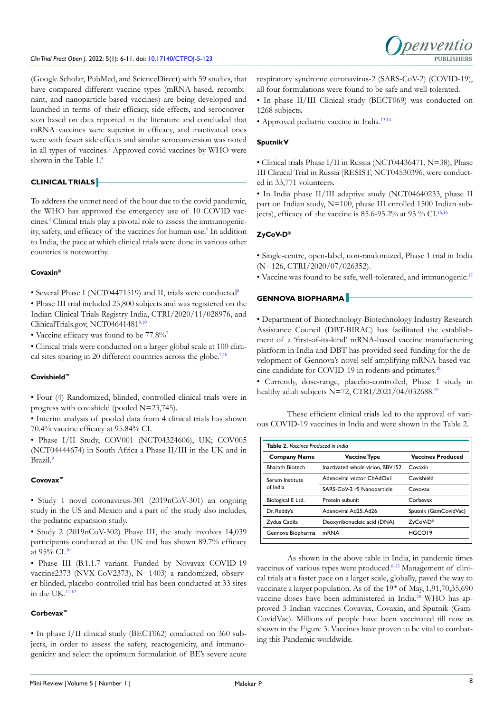#### *Clin Trial Pract Open J*. 2022; 5(1): 6-11. doi: [10.17140/CTPOJ-5-123](http://dx.doi.org/10.17140/CTPOJ-5-123) **PUBLISHERS**



(Google Scholar, PubMed, and ScienceDirect) with 59 studies, that have compared different vaccine types (mRNA-based, recombinant, and nanoparticle-based vaccines) are being developed and launched in terms of their efficacy, side effects, and seroconversion based on data reported in the literature and concluded that mRNA vaccines were superior in efficacy, and inactivated ones were with fewer side effects and similar seroconversion was noted in all types of vaccines.<sup>[1](#page-4-0)</sup> Approved covid vaccines by WHO were shown in the Table 1.[4](#page-4-3)

## **CLINICAL TRIALS**

To address the unmet need of the hour due to the covid pandemic, the WHO has approved the emergency use of 10 COVID vaccines.[4](#page-4-3) Clinical trials play a pivotal role to assess the immunogenicity, safety, and efficacy of the vaccines for human use.[7](#page-4-6) In addition to India, the pace at which clinical trials were done in various other countries is noteworthy.

## **Covaxin®**

• Several Phase I (NCT04471519) and II, trials were conducted<sup>8</sup>

• Phase III trial included 25,800 subjects and was registered on the Indian Clinical Trials Registry India, CTRI/2020/11/028976, and ClinicalTrials.gov, NCT04641481[9,10](#page-4-8)

• Vaccine efficacy was found to be 77.8%[7](#page-4-6)

• Clinical trials were conducted on a larger global scale at 100 clinical sites sparing in 20 different countries across the globe. $7,10$  $7,10$ 

## **Covishield™**

• Four (4) Randomized, blinded, controlled clinical trials were in progress with covishield (pooled N=23,745).

• Interim analysis of pooled data from 4 clinical trials has shown 70.4% vaccine efficacy at 95.84% CI.

• Phase I/II Study, COV001 (NCT04324606), UK; COV005 (NCT04444674) in South Africa a Phase II/III in the UK and in Brazil.[9](#page-4-8)

## **Covovax™**

• Study 1 novel coronavirus-301 (2019nCoV-301) an ongoing study in the US and Mexico and a part of the study also includes, the pediatric expansion study.

• Study 2 (2019nCoV-302) Phase III, the study involves 14,039 participants conducted at the UK and has shown 89.7% efficacy at 95% CI[.10](#page-4-9)

• Phase III (B.1.1.7 variant. Funded by Novavax COVID-19 vaccine2373 (NVX-CoV2373), N=1403) a randomized, observer-blinded, placebo-controlled trial has been conducted at 33 sites in the UK. $11,12$ 

## **Corbevax™**

• In phase I/II clinical study (BECT062) conducted on 360 subjects, in order to assess the safety, reactogenicity, and immunogenicity and select the optimum formulation of BE's severe acute respiratory syndrome coronavirus-2 (SARS-CoV-2) (COVID-19), all four formulations were found to be safe and well-tolerated.

• In phase II/III Clinical study (BECT069) was conducted on 1268 subjects.

• Approved pediatric vaccine in India.[13,14](#page-4-11)

## **Sputnik V**

• Clinical trials Phase I/II in Russia (NCT04436471, N=38), Phase III Clinical Trial in Russia (RESIST, NCT04530396, were conducted in 33,771 volunteers.

• In India phase II/III adaptive study (NCT04640233, phase II part on Indian study, N=100, phase III enrolled 1500 Indian subjects), efficacy of the vaccine is  $85.6$ -95.2% at 95 % CI.<sup>[15,16](#page-4-12)</sup>

## **ZyCoV-D®**

• Single-centre, open-label, non-randomized, Phase 1 trial in India (N=126, CTRI/2020/07/026352).

• Vaccine was found to be safe, well-tolerated, and immunogenic[.17](#page-4-13)

## **GENNOVA BIOPHARMA**

• Department of Biotechnology-Biotechnology Industry Research Assistance Council (DBT-BIRAC) has facilitated the establishment of a 'first-of-its-kind' mRNA-based vaccine manufacturing platform in India and DBT has provided seed funding for the development of Gennova's novel self-amplifying mRNA-based vaccine candidate for COVID-19 in rodents and primates.<sup>18</sup>

• Currently, dose-range, placebo-controlled, Phase I study in healthy adult subjects N=72, CTRI/2021/04/032688.<sup>[19](#page-4-15)</sup>

These efficient clinical trials led to the approval of various COVID-19 vaccines in India and were shown in the Table 2.

| <b>Table 2.</b> Vaccines Produced in India |                                  |                          |
|--------------------------------------------|----------------------------------|--------------------------|
| <b>Company Name</b>                        | <b>Vaccine Type</b>              | <b>Vaccines Produced</b> |
| <b>Bharath Biotech</b>                     | Inactivated whole virion, BBV152 | Covaxin                  |
| Serum Institute<br>of India                | Adenoviral vector ChAdOx1        | Covishield               |
|                                            | SARS-CoV-2 rS Nanoparticle       | Covovax                  |
| Biological E Ltd.                          | Protein subunit                  | Corbevax                 |
| Dr. Reddy's                                | Adenoviral Ad25, Ad26            | Sputnik (GamCovidVac)    |
| Zydus Cadila                               | Deoxyribonucleic acid (DNA)      | ZyCoV-D®                 |
| Gennova Biopharma                          | mRNA                             | HGCO19                   |

As shown in the above table in India, in pandemic times vaccines of various types were produced[.8-15](#page-4-7) Management of clinical trials at a faster pace on a larger scale, globally, paved the way to vaccinate a larger population. As of the 19th of May, 1,91,70,35,690 vaccine doses have been administered in India[.20](#page-4-16) WHO has approved 3 Indian vaccines Covavax, Covaxin, and Sputnik (Gam-CovidVac). Millions of people have been vaccinated till now as shown in the Figure 3. Vaccines have proven to be vital to combating this Pandemic worldwide.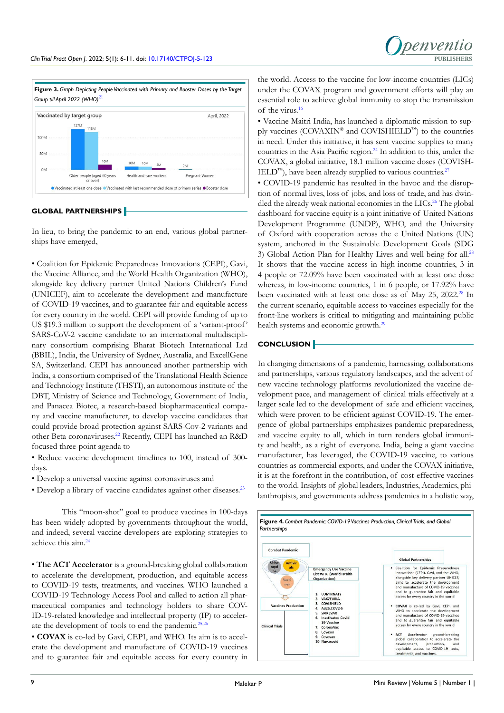



## **GLOBAL PARTNERSHIPS**

In lieu, to bring the pandemic to an end, various global partnerships have emerged,

• Coalition for Epidemic Preparedness Innovations (CEPI), Gavi, the Vaccine Alliance, and the World Health Organization (WHO), alongside key delivery partner United Nations Children's Fund (UNICEF), aim to accelerate the development and manufacture of COVID-19 vaccines, and to guarantee fair and equitable access for every country in the world. CEPI will provide funding of up to US \$19.3 million to support the development of a 'variant-proof ' SARS-CoV-2 vaccine candidate to an international multidisciplinary consortium comprising Bharat Biotech International Ltd (BBIL), India, the University of Sydney, Australia, and ExcellGene SA, Switzerland. CEPI has announced another partnership with India, a consortium comprised of the Translational Health Science and Technology Institute (THSTI), an autonomous institute of the DBT, Ministry of Science and Technology, Government of India, and Panacea Biotec, a research-based biopharmaceutical company and vaccine manufacturer, to develop vaccine candidates that could provide broad protection against SARS-Cov-2 variants and other Beta coronaviruses.[22](#page-4-17) Recently, CEPI has launched an R&D focused three-point agenda to

• Reduce vaccine development timelines to 100, instead of 300 days.

- Develop a universal vaccine against coronaviruses and
- Develop a library of vaccine candidates against other diseases.<sup>[23](#page-5-0)</sup>

This "moon-shot" goal to produce vaccines in 100-days has been widely adopted by governments throughout the world, and indeed, several vaccine developers are exploring strategies to achieve this aim.[24](#page-5-1)

• **The ACT Accelerator** is a ground-breaking global collaboration to accelerate the development, production, and equitable access to COVID-19 tests, treatments, and vaccines. WHO launched a COVID-19 Technology Access Pool and called to action all pharmaceutical companies and technology holders to share COV-ID-19-related knowledge and intellectual property (IP) to accelerate the development of tools to end the pandemic.<sup>25,25</sup>

• **COVAX** is co-led by Gavi, CEPI, and WHO. Its aim is to accelerate the development and manufacture of COVID-19 vaccines and to guarantee fair and equitable access for every country in

the world. Access to the vaccine for low-income countries (LICs) under the COVAX program and government efforts will play an essential role to achieve global immunity to stop the transmission of the virus[.16](#page-4-18)

• Vaccine Maitri India, has launched a diplomatic mission to supply vaccines (COVAXIN<sup>®</sup> and COVISHIELD™) to the countries in need. Under this initiative, it has sent vaccine supplies to many countries in the Asia Pacific region.[24](#page-5-1) In addition to this, under the COVAX, a global initiative, 18.1 million vaccine doses (COVISH- $\text{IED}^{\text{rw}}$ , have been already supplied to various countries.<sup>[27](#page-5-3)</sup>

• COVID-19 pandemic has resulted in the havoc and the disruption of normal lives, loss of jobs, and loss of trade, and has dwin-dled the already weak national economies in the LICs.<sup>[26](#page-5-2)</sup> The global dashboard for vaccine equity is a joint initiative of United Nations Development Programme (UNDP), WHO, and the University of Oxford with cooperation across the e United Nations (UN) system, anchored in the Sustainable Development Goals (SDG 3) Global Action Plan for Healthy Lives and well-being for all.<sup>[28](#page-5-4)</sup> It shows that the vaccine access in high-income countries, 3 in 4 people or 72.09% have been vaccinated with at least one dose whereas, in low-income countries, 1 in 6 people, or 17.92% have been vaccinated with at least one dose as of May 25, 2022.<sup>28</sup> In the current scenario, equitable access to vaccines especially for the front-line workers is critical to mitigating and maintaining public health systems and economic growth.<sup>[29](#page-5-5)</sup>

## **CONCLUSION**

In changing dimensions of a pandemic, harnessing, collaborations and partnerships, various regulatory landscapes, and the advent of new vaccine technology platforms revolutionized the vaccine development pace, and management of clinical trials effectively at a larger scale led to the development of safe and efficient vaccines, which were proven to be efficient against COVID-19. The emergence of global partnerships emphasizes pandemic preparedness, and vaccine equity to all, which in turn renders global immunity and health, as a right of everyone. India, being a giant vaccine manufacturer, has leveraged, the COVID-19 vaccine, to various countries as commercial exports, and under the COVAX initiative, it is at the forefront in the contribution, of cost-effective vaccines to the world. Insights of global leaders, Industries, Academics, philanthropists, and governments address pandemics in a holistic way,

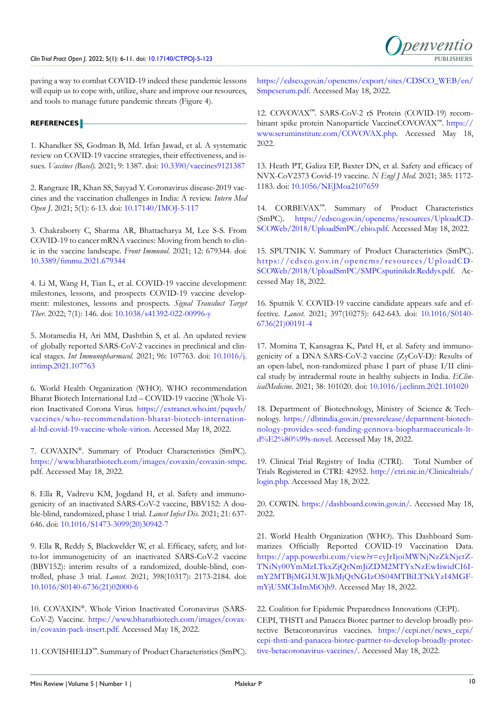paving a way to combat COVID-19 indeed these pandemic lessons will equip us to cope with, utilize, share and improve our resources, and tools to manage future pandemic threats (Figure 4).

## **REFERENCES**

<span id="page-4-0"></span>1. Khandker SS, Godman B, Md. Irfan Jawad, et al. A systematic review on COVID-19 vaccine strategies, their effectiveness, and issues. *Vaccines (Basel).* 2021; 9: 1387. doi: [10.3390/vaccines9121387](http://doi.org/10.3390/vaccines9121387)

<span id="page-4-1"></span>2. Rangraze IR, Khan SS, Sayyad Y. Coronavirus disease-2019 vaccines and the vaccination challenges in India: A review. *Intern Med Open J*. 2021; 5(1): 6-13. doi: [10.17140/IMOJ-5-117](http://doi.org/10.17140/IMOJ-5-117)

<span id="page-4-2"></span>3. Chakraborty C, Sharma AR, Bhattacharya M, Lee S-S. From COVID-19 to cancer mRNA vaccines: Moving from bench to clinic in the vaccine landscape. *Front Immunol*. 2021; 12: 679344. doi: [10.3389/fimmu.2021.679344](http://doi.org/10.3389/fimmu.2021.679344)

<span id="page-4-3"></span>4. Li M, Wang H, Tian L, et al. COVID-19 vaccine development: milestones, lessons, and prospects COVID-19 vaccine development: milestones, lessons and prospects. *Signal Transduct Target Ther*. 2022; 7(1): 146. doi: [10.1038/s41392-022-00996-y](http://doi.org/10.1038/s41392-022-00996-y)

<span id="page-4-4"></span>5. Motamedia H, Ari MM, Dashtbin S, et al. An updated review of globally reported SARS-CoV-2 vaccines in preclinical and clinical stages. *Int Immunopharmacol.* 2021; 96: 107763. doi: [10.1016/j.](http://doi.org/10.1016/j.intimp.2021.107763) [intimp.2021.107763](http://doi.org/10.1016/j.intimp.2021.107763)

<span id="page-4-5"></span>6. World Health Organization (WHO). WHO recommendation Bharat Biotech International Ltd – COVID-19 vaccine (Whole Virion Inactivated Corona Virus. [https://extranet.who.int/pqweb/](https://extranet.who.int/pqweb/vaccines/who-recommendation-bharat-biotech-international-ltd-covid-19-vaccine-whole-virion) [vaccines/who-recommendation-bharat-biotech-internation](https://extranet.who.int/pqweb/vaccines/who-recommendation-bharat-biotech-international-ltd-covid-19-vaccine-whole-virion)[al-ltd-covid-19-vaccine-whole-virion](https://extranet.who.int/pqweb/vaccines/who-recommendation-bharat-biotech-international-ltd-covid-19-vaccine-whole-virion). Accessed May 18, 2022.

<span id="page-4-6"></span>7. COVAXIN®. Summary of Product Characteristics (SmPC). <https://www.bharatbiotech.com/images/covaxin/covaxin-smpc>. pdf. Accessed May 18, 2022.

<span id="page-4-7"></span>8. Ella R, Vadrevu KM, Jogdand H, et al. Safety and immunogenicity of an inactivated SARS-CoV-2 vaccine, BBV152: A double-blind, randomized, phase 1 trial. *Lancet Infect Dis.* 2021; 21: 637- 646. doi: [10.1016/S1473-3099\(20\)30942-7](http://doi.org/10.1016/S1473-3099(20)30942-7)

<span id="page-4-8"></span>9. Ella R, Reddy S, Blackwelder W, et al. Efficacy, safety, and lotto-lot immunogenicity of an inactivated SARS-CoV-2 vaccine (BBV152): interim results of a randomized, double-blind, controlled, phase 3 trial. *Lancet.* 2021; 398(10317): 2173-2184. doi: [10.1016/S0140-6736\(21\)02000-6](http://doi.org/10.1016/S0140-6736(21)02000-6)

<span id="page-4-9"></span>10. COVAXIN®. Whole Virion Inactivated Coronavirus (SARS-CoV-2) Vaccine. [https://www.bharatbiotech.com/images/covax](https://www.bharatbiotech.com/images/covaxin/covaxin-pack-insert.pdf)[in/covaxin-pack-insert.pdf](https://www.bharatbiotech.com/images/covaxin/covaxin-pack-insert.pdf). Accessed May 18, 2022.

<span id="page-4-10"></span>11. COVISHIELD™. Summary of Product Characteristics (SmPC).

[https://cdsco.gov.in/opencms/export/sites/CDSCO\\_WEB/en/](https://cdsco.gov.in/opencms/export/sites/CDSCO_WEB/en/Smpcserum.pdf) [Smpcserum.pdf.](https://cdsco.gov.in/opencms/export/sites/CDSCO_WEB/en/Smpcserum.pdf) Accessed May 18, 2022.

12. COVOVAX™. SARS-CoV-2 rS Protein (COVID-19) recombinant spike protein Nanoparticle VaccineCOVOVAX™. [https://](https://www.seruminstitute.com/COVOVAX.php) [www.seruminstitute.com/COVOVAX.php](https://www.seruminstitute.com/COVOVAX.php). Accessed May 18, 2022.

<span id="page-4-11"></span>13. Heath PT, Galiza EP, Baxter DN, et al. Safety and efficacy of NVX-CoV2373 Covid-19 vaccine. *N Engl J Med.* 2021; 385: 1172- 1183. doi: [10.1056/NEJMoa2107659](http://doi.org/10.1056/NEJMoa2107659)

14. CORBEVAX™. Summary of Product Characteristics (SmPC). [https://cdsco.gov.in/opencms/resources/UploadCD](https://cdsco.gov.in/opencms/resources/UploadCDSCOWeb/2018/UploadSmPC/ebio.pdf)-[SCOWeb/2018/UploadSmPC/ebio.pdf](https://cdsco.gov.in/opencms/resources/UploadCDSCOWeb/2018/UploadSmPC/ebio.pdf). Accessed May 18, 2022.

<span id="page-4-12"></span>15. SPUTNIK V. Summary of Product Characteristics (SmPC). [https://cdsco.gov.in/opencms/resources/UploadCD](https://cdsco.gov.in/opencms/resources/UploadCDSCOWeb/2018/UploadSmPC/SMPCsputinikdr.Reddys.pdf)-[SCOWeb/2018/UploadSmPC/SMPCsputinikdr.Reddys.pdf](https://cdsco.gov.in/opencms/resources/UploadCDSCOWeb/2018/UploadSmPC/SMPCsputinikdr.Reddys.pdf). Accessed May 18, 2022.

<span id="page-4-18"></span>16. Sputnik V. COVID-19 vaccine candidate appears safe and effective. *Lancet*. 2021; 397(10275): 642-643. doi: [10.1016/S0140-](http://doi.org/10.1016/S0140-6736(21)00191-4) [6736\(21\)00191-4](http://doi.org/10.1016/S0140-6736(21)00191-4)

<span id="page-4-13"></span>17. Momina T, Kansagraa K, Patel H, et al. Safety and immunogenicity of a DNA SARS-CoV-2 vaccine (ZyCoV-D): Results of an open-label, non-randomized phase I part of phase I/II clinical study by intradermal route in healthy subjects in India. *EClinicalMedicine.* 2021; 38: 101020. doi: [10.1016/j.eclinm.2021.101020](http://doi.org/10.1016/j.eclinm.2021.101020)

<span id="page-4-14"></span>18. Department of Biotechnology, Ministry of Science & Technology. [https://dbtindia.gov.in/pressrelease/department-biotech](https://dbtindia.gov.in/pressrelease/department-biotechnology-provides-seed-funding-gennova-biopharmaceuticals-ltd%E2%80%99s-novel)[nology-provides-seed-funding-gennova-biopharmaceuticals-lt](https://dbtindia.gov.in/pressrelease/department-biotechnology-provides-seed-funding-gennova-biopharmaceuticals-ltd%E2%80%99s-novel)[d%E2%80%99s-novel](https://dbtindia.gov.in/pressrelease/department-biotechnology-provides-seed-funding-gennova-biopharmaceuticals-ltd%E2%80%99s-novel). Accessed May 18, 2022.

<span id="page-4-15"></span>19. Clinical Trial Registry of India (CTRI). Total Number of Trials Registered in CTRI: 42952. [http://ctri.nic.in/Clinicaltrials/](http://ctri.nic.in/Clinicaltrials/login.php) [login.php.](http://ctri.nic.in/Clinicaltrials/login.php) Accessed May 18, 2022.

<span id="page-4-16"></span>20. COWIN. <https://dashboard.cowin.gov.in/>. Accessed May 18, 2022.

<span id="page-4-19"></span>21. World Health Organization (WHO). This Dashboard Summarizes Officially Reported COVID-19 Vaccination Data. [https://app.powerbi.com/view?r=eyJrIjoiMWNjNzZkNjctZ](https://app.powerbi.com/view?r=eyJrIjoiMWNjNzZkNjctZTNiNy00YmMzLTkxZjQtNmJiZDM2MTYxNzEwIiwidCI6ImY2MTBjMGI3LWJkMjQtNGIzOS04MTBiLTNkYzI4MGFmYjU5MCIsImMiOjh9)-[TNiNy00YmMzLTkxZjQtNmJiZDM2MTYxNzEwIiwidCI6I](https://app.powerbi.com/view?r=eyJrIjoiMWNjNzZkNjctZTNiNy00YmMzLTkxZjQtNmJiZDM2MTYxNzEwIiwidCI6ImY2MTBjMGI3LWJkMjQtNGIzOS04MTBiLTNkYzI4MGFmYjU5MCIsImMiOjh9)[mY2MTBjMGI3LWJkMjQtNGIzOS04MTBiLTNkYzI4MGF](https://app.powerbi.com/view?r=eyJrIjoiMWNjNzZkNjctZTNiNy00YmMzLTkxZjQtNmJiZDM2MTYxNzEwIiwidCI6ImY2MTBjMGI3LWJkMjQtNGIzOS04MTBiLTNkYzI4MGFmYjU5MCIsImMiOjh9)[mYjU5MCIsImMiOjh9](https://app.powerbi.com/view?r=eyJrIjoiMWNjNzZkNjctZTNiNy00YmMzLTkxZjQtNmJiZDM2MTYxNzEwIiwidCI6ImY2MTBjMGI3LWJkMjQtNGIzOS04MTBiLTNkYzI4MGFmYjU5MCIsImMiOjh9). Accessed May 18, 2022.

<span id="page-4-17"></span>22. Coalition for Epidemic Preparedness Innovations (CEPI). CEPI, THSTI and Panacea Biotec partner to develop broadly protective Betacoronavirus vaccines. [https://cepi.net/news\\_cepi/](https://cepi.net/news_cepi/cepi-thsti-and-panacea-biotec-partner-to-develop-broadly-protective-betacoronavirus-vaccines/) [cepi-thsti-and-panacea-biotec-partner-to-develop-broadly-protec](https://cepi.net/news_cepi/cepi-thsti-and-panacea-biotec-partner-to-develop-broadly-protective-betacoronavirus-vaccines/)[tive-betacoronavirus-vaccines/.](https://cepi.net/news_cepi/cepi-thsti-and-panacea-biotec-partner-to-develop-broadly-protective-betacoronavirus-vaccines/) Accessed May 18, 2022.